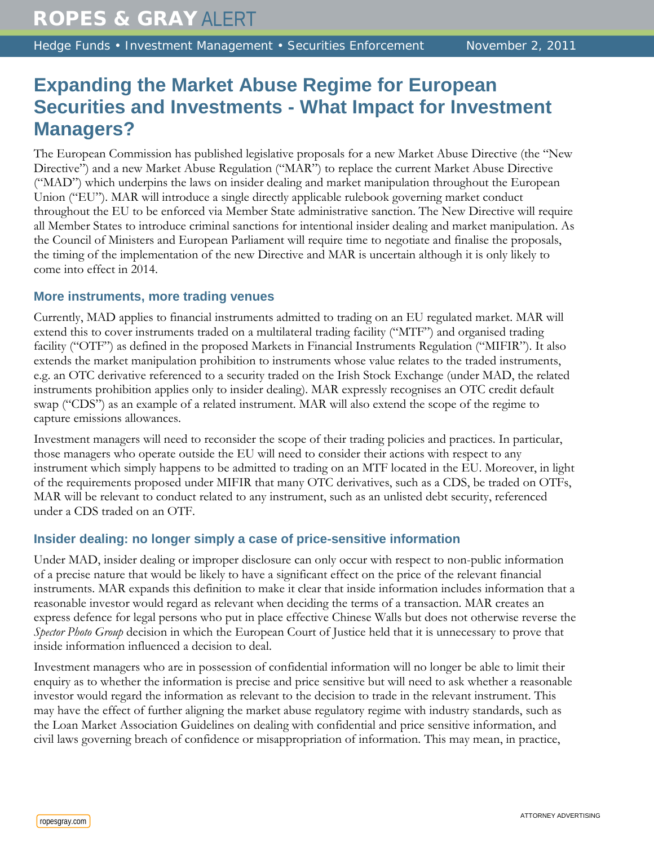# **Expanding the Market Abuse Regime for European Securities and Investments - What Impact for Investment Managers?**

The European Commission has published legislative proposals for a new Market Abuse Directive (the "New Directive") and a new Market Abuse Regulation ("MAR") to replace the current Market Abuse Directive ("MAD") which underpins the laws on insider dealing and market manipulation throughout the European Union ("EU"). MAR will introduce a single directly applicable rulebook governing market conduct throughout the EU to be enforced via Member State administrative sanction. The New Directive will require all Member States to introduce criminal sanctions for intentional insider dealing and market manipulation. As the Council of Ministers and European Parliament will require time to negotiate and finalise the proposals, the timing of the implementation of the new Directive and MAR is uncertain although it is only likely to come into effect in 2014.

## **More instruments, more trading venues**

Currently, MAD applies to financial instruments admitted to trading on an EU regulated market. MAR will extend this to cover instruments traded on a multilateral trading facility ("MTF") and organised trading facility ("OTF") as defined in the proposed Markets in Financial Instruments Regulation ("MIFIR"). It also extends the market manipulation prohibition to instruments whose value relates to the traded instruments, e.g. an OTC derivative referenced to a security traded on the Irish Stock Exchange (under MAD, the related instruments prohibition applies only to insider dealing). MAR expressly recognises an OTC credit default swap ("CDS") as an example of a related instrument. MAR will also extend the scope of the regime to capture emissions allowances.

Investment managers will need to reconsider the scope of their trading policies and practices. In particular, those managers who operate outside the EU will need to consider their actions with respect to any instrument which simply happens to be admitted to trading on an MTF located in the EU. Moreover, in light of the requirements proposed under MIFIR that many OTC derivatives, such as a CDS, be traded on OTFs, MAR will be relevant to conduct related to any instrument, such as an unlisted debt security, referenced under a CDS traded on an OTF.

## **Insider dealing: no longer simply a case of price-sensitive information**

Under MAD, insider dealing or improper disclosure can only occur with respect to non-public information of a precise nature that would be likely to have a significant effect on the price of the relevant financial instruments. MAR expands this definition to make it clear that inside information includes information that a reasonable investor would regard as relevant when deciding the terms of a transaction. MAR creates an express defence for legal persons who put in place effective Chinese Walls but does not otherwise reverse the *Spector Photo Group* decision in which the European Court of Justice held that it is unnecessary to prove that inside information influenced a decision to deal.

Investment managers who are in possession of confidential information will no longer be able to limit their enquiry as to whether the information is precise and price sensitive but will need to ask whether a reasonable investor would regard the information as relevant to the decision to trade in the relevant instrument. This may have the effect of further aligning the market abuse regulatory regime with industry standards, such as the Loan Market Association Guidelines on dealing with confidential and price sensitive information, and civil laws governing breach of confidence or misappropriation of information. This may mean, in practice,